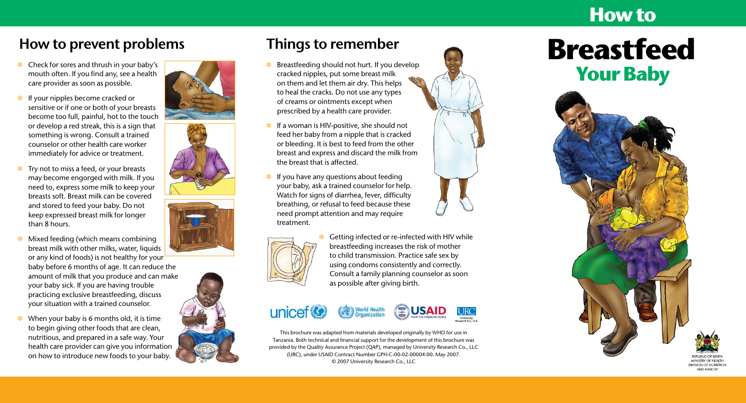

- $\ast$  Check for sores and thrush in your baby's mouth often. If you find any, see a health care provider as soon as possible.
- $\cdot$  If your nipples become cracked or sensitive or if one or both of your breasts become too full, painful, hot to the touch or develop a red streak, this is a sign that something is wrong. Consult a trained counselor or other health care worker immediately for advice or treatment.
- **\*** Try not to miss a feed, or your breasts may become engorged with milk. If you need to, express some milk to keep your breasts soft. Breast milk can be covered and stored to feed your baby. Do not keep expressed breast milk for longer than 8 hours.

**\*** When your baby is 6 months old, it is time to begin giving other foods that are clean, nutritious, and prepared in a safe way. Your health care provider can give you information on how to introduce new foods to your baby.











- $\ast$  Breastfeeding should not hurt. If you develop cracked nipples, put some breast milk on them and let them air dry. This helps to heal the cracks. Do not use any types of creams or ointments except when prescribed by a health care provider.
- **\*** If a woman is HIV-positive, she should not feed her baby from a nipple that is cracked or bleeding. It is best to feed from the other breast and express and discard the milk from the breast that is affected.
- $*$  If you have any questions about feeding your baby, ask a trained counselor for help. Watch for signs of diarrhea, fever, difficulty breathing, or refusal to feed because these need prompt attention and may require treatment.





# **Breastfeed Your Baby**



MINISTRY OF HEALTH **DIVISION OF NUTRITION AND NASCOF** 

Getting infected or re-infected with HIV while breastfeeding increases the risk of mother to child transmission. Practice safe sex by using condoms consistently and correctly. Consult a family planning counselor as soon as possible after giving birth.

unicef<sup>®</sup>





#### **How to prevent problems Things to remember**

This brochure was adapted from materials developed originally by WHO for use in Tanzania. Both technical and financial support for the development of this brochure was provided by the Quality Assurance Project (QAP), managed by University Research Co., LLC (URC), under USAID Contract Number GPH-C-00-02-00004-00. May 2007. © 2007 University Research Co., LLC